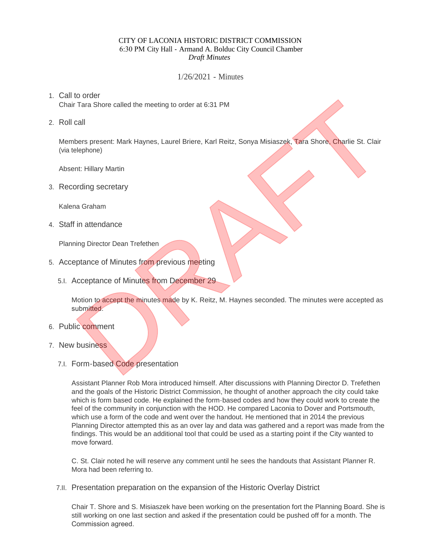## CITY OF LACONIA HISTORIC DISTRICT COMMISSION 6:30 PM City Hall - Armand A. Bolduc City Council Chamber *Draft Minutes*

1/26/2021 - Minutes

## Call to order 1.

Chair Tara Shore called the meeting to order at 6:31 PM

2. Roll call

Members present: Mark Haynes, Laurel Briere, Karl Reitz, Sonya Misiaszek, Tara Shore, Charlie St. Clair (via telephone)

Absent: Hillary Martin

3. Recording secretary

Kalena Graham

Staff in attendance 4.

Planning Director Dean Trefethen

- 5. Acceptance of Minutes from previous meeting
	- 5.I. Acceptance of Minutes from December 29

Motion to accept the minutes made by K. Reitz, M. Haynes seconded. The minutes were accepted as submitted. o cotour<br>
Call<br>
Tara Shore called the meeting to order at 6:31 PM<br>
call<br>
thers present: Mark Haynes, Laurel Briere, Karl Reitz, Sonya Misiaszek, Tara Shore, Charlie St. Clair<br>
elephone)<br>
nt: Hillary Martin<br>
in attendance<br>

- 6. Public comment
- 7. New business
	- 7.I. Form-based Code presentation

Assistant Planner Rob Mora introduced himself. After discussions with Planning Director D. Trefethen and the goals of the Historic District Commission, he thought of another approach the city could take which is form based code. He explained the form-based codes and how they could work to create the feel of the community in conjunction with the HOD. He compared Laconia to Dover and Portsmouth, which use a form of the code and went over the handout. He mentioned that in 2014 the previous Planning Director attempted this as an over lay and data was gathered and a report was made from the findings. This would be an additional tool that could be used as a starting point if the City wanted to move forward.

C. St. Clair noted he will reserve any comment until he sees the handouts that Assistant Planner R. Mora had been referring to.

7.II. Presentation preparation on the expansion of the Historic Overlay District

Chair T. Shore and S. Misiaszek have been working on the presentation fort the Planning Board. She is still working on one last section and asked if the presentation could be pushed off for a month. The Commission agreed.